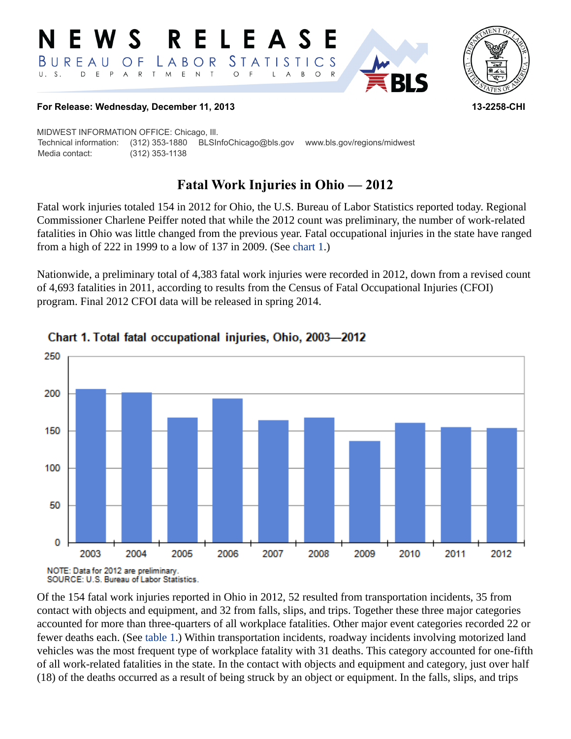



### **For Release: Wednesday, December 11, 2013 13-2258-CHI**

MIDWEST INFORMATION OFFICE: Chicago, Ill. Technical information: (312) 353-1880 BLSInfoChicago@bls.gov www.bls.gov/regions/midwest Media contact: (312) 353-1138

# **Fatal Work Injuries in Ohio — 2012**

Fatal work injuries totaled 154 in 2012 for Ohio, the U.S. Bureau of Labor Statistics reported today. Regional Commissioner Charlene Peiffer noted that while the 2012 count was preliminary, the number of work-related fatalities in Ohio was little changed from the previous year. Fatal occupational injuries in the state have ranged from a high of 222 in 1999 to a low of 137 in 2009. (See [chart 1](#page-0-0).)

Nationwide, a preliminary total of 4,383 fatal work injuries were recorded in 2012, down from a revised count of 4,693 fatalities in 2011, according to results from the Census of Fatal Occupational Injuries (CFOI) program. Final 2012 CFOI data will be released in spring 2014.



# <span id="page-0-0"></span>Chart 1. Total fatal occupational injuries, Ohio, 2003-2012

Of the 154 fatal work injuries reported in Ohio in 2012, 52 resulted from transportation incidents, 35 from contact with objects and equipment, and 32 from falls, slips, and trips. Together these three major categories accounted for more than three-quarters of all workplace fatalities. Other major event categories recorded 22 or fewer deaths each. (See [table 1](#page-3-0).) Within transportation incidents, roadway incidents involving motorized land vehicles was the most frequent type of workplace fatality with 31 deaths. This category accounted for one-fifth of all work-related fatalities in the state. In the contact with objects and equipment and category, just over half (18) of the deaths occurred as a result of being struck by an object or equipment. In the falls, slips, and trips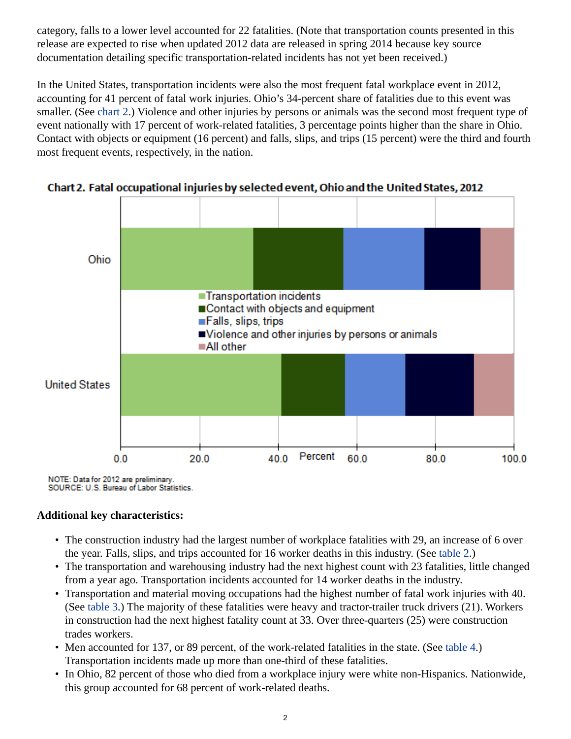category, falls to a lower level accounted for 22 fatalities. (Note that transportation counts presented in this release are expected to rise when updated 2012 data are released in spring 2014 because key source documentation detailing specific transportation-related incidents has not yet been received.)

In the United States, transportation incidents were also the most frequent fatal workplace event in 2012, accounting for 41 percent of fatal work injuries. Ohio's 34-percent share of fatalities due to this event was smaller. (See [chart 2.](#page-1-0)) Violence and other injuries by persons or animals was the second most frequent type of event nationally with 17 percent of work-related fatalities, 3 percentage points higher than the share in Ohio. Contact with objects or equipment (16 percent) and falls, slips, and trips (15 percent) were the third and fourth most frequent events, respectively, in the nation.



<span id="page-1-0"></span>Chart 2. Fatal occupational injuries by selected event, Ohio and the United States, 2012

NOTE: Data for 2012 are preliminary. SOURCE: U.S. Bureau of Labor Statistics.

# **Additional key characteristics:**

- The construction industry had the largest number of workplace fatalities with 29, an increase of 6 over the year. Falls, slips, and trips accounted for 16 worker deaths in this industry. (See [table 2](#page-4-0).)
- The transportation and warehousing industry had the next highest count with 23 fatalities, little changed from a year ago. Transportation incidents accounted for 14 worker deaths in the industry.
- Transportation and material moving occupations had the highest number of fatal work injuries with 40. (See [table 3](#page-5-0).) The majority of these fatalities were heavy and tractor-trailer truck drivers (21). Workers in construction had the next highest fatality count at 33. Over three-quarters (25) were construction trades workers.
- Men accounted for 137, or 89 percent, of the work-related fatalities in the state. (See [table 4](#page-6-0).) Transportation incidents made up more than one-third of these fatalities.
- In Ohio, 82 percent of those who died from a workplace injury were white non-Hispanics. Nationwide, this group accounted for 68 percent of work-related deaths.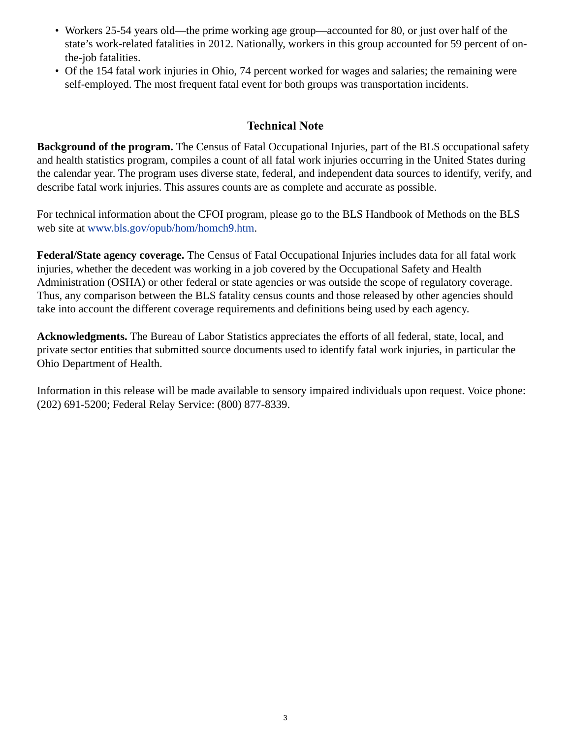- Workers 25-54 years old—the prime working age group—accounted for 80, or just over half of the state's work-related fatalities in 2012. Nationally, workers in this group accounted for 59 percent of onthe-job fatalities.
- Of the 154 fatal work injuries in Ohio, 74 percent worked for wages and salaries; the remaining were self-employed. The most frequent fatal event for both groups was transportation incidents.

### **Technical Note**

**Background of the program.** The Census of Fatal Occupational Injuries, part of the BLS occupational safety and health statistics program, compiles a count of all fatal work injuries occurring in the United States during the calendar year. The program uses diverse state, federal, and independent data sources to identify, verify, and describe fatal work injuries. This assures counts are as complete and accurate as possible.

For technical information about the CFOI program, please go to the BLS Handbook of Methods on the BLS web site at [www.bls.gov/opub/hom/homch9.htm.](https://www.bls.gov/opub/hom/homch9.htm)

**Federal/State agency coverage.** The Census of Fatal Occupational Injuries includes data for all fatal work injuries, whether the decedent was working in a job covered by the Occupational Safety and Health Administration (OSHA) or other federal or state agencies or was outside the scope of regulatory coverage. Thus, any comparison between the BLS fatality census counts and those released by other agencies should take into account the different coverage requirements and definitions being used by each agency.

**Acknowledgments.** The Bureau of Labor Statistics appreciates the efforts of all federal, state, local, and private sector entities that submitted source documents used to identify fatal work injuries, in particular the Ohio Department of Health.

Information in this release will be made available to sensory impaired individuals upon request. Voice phone: (202) 691-5200; Federal Relay Service: (800) 877-8339.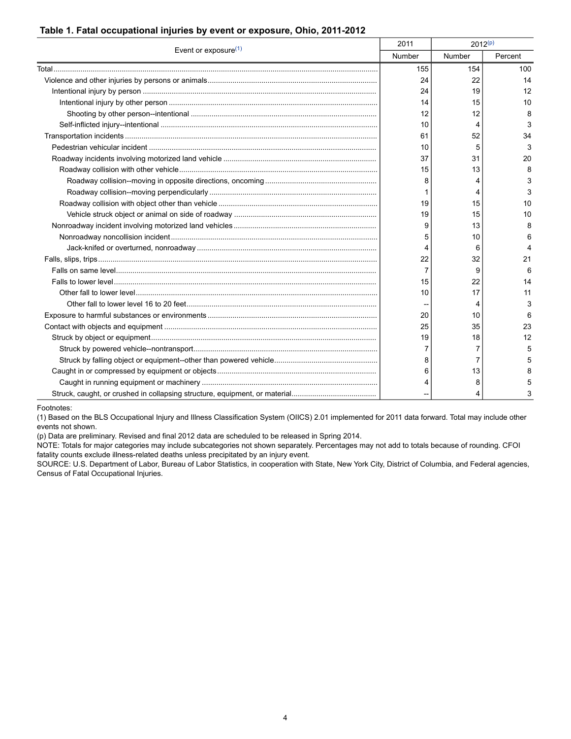### <span id="page-3-0"></span>**Table 1. Fatal occupational injuries by event or exposure, Ohio, 2011-2012**

| Event or exposure $(1)$ | 2011   | $2012^{(p)}$ |         |
|-------------------------|--------|--------------|---------|
|                         | Number | Number       | Percent |
|                         | 155    | 154          | 100     |
|                         | 24     | 22           | 14      |
|                         | 24     | 19           | 12      |
|                         | 14     | 15           | 10      |
|                         | 12     | 12           | 8       |
|                         | 10     | 4            | 3       |
|                         | 61     | 52           | 34      |
|                         | 10     | 5            | 3       |
|                         | 37     | 31           | 20      |
|                         | 15     | 13           | 8       |
|                         | 8      | 4            | З       |
|                         |        | 4            | 3       |
|                         | 19     | 15           | 10      |
|                         | 19     | 15           | 10      |
|                         | 9      | 13           | 8       |
|                         | 5      | 10           |         |
|                         | 4      | 6            |         |
|                         | 22     | 32           | 21      |
|                         | 7      | 9            | 6       |
|                         | 15     | 22           | 14      |
|                         | 10     | 17           | 11      |
|                         |        | 4            | 3       |
|                         | 20     | 10           | 6       |
|                         | 25     | 35           | 23      |
|                         | 19     | 18           | 12      |
|                         |        | 7            | 5       |
|                         | 8      | 7            | 5       |
|                         | 6      | 13           | 8       |
|                         | 4      | 8            | 5       |
|                         |        | 4            | 3       |

Footnotes:

<span id="page-3-1"></span>(1) Based on the BLS Occupational Injury and Illness Classification System (OIICS) 2.01 implemented for 2011 data forward. Total may include other events not shown.

<span id="page-3-2"></span>(p) Data are preliminary. Revised and final 2012 data are scheduled to be released in Spring 2014.

NOTE: Totals for major categories may include subcategories not shown separately. Percentages may not add to totals because of rounding. CFOI fatality counts exclude illness-related deaths unless precipitated by an injury event.

SOURCE: U.S. Department of Labor, Bureau of Labor Statistics, in cooperation with State, New York City, District of Columbia, and Federal agencies, Census of Fatal Occupational Injuries.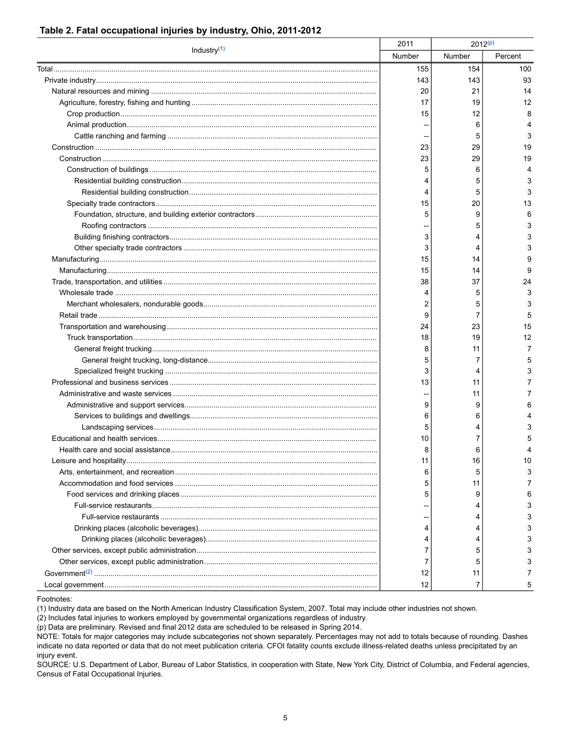### <span id="page-4-0"></span>Table 2. Fatal occupational injuries by industry, Ohio, 2011-2012

| Industry $(1)$ | 2011   | $2012^{(p)}$ |         |
|----------------|--------|--------------|---------|
|                | Number | Number       | Percent |
|                | 155    | 154          | 100     |
|                | 143    | 143          | 93      |
|                | 20     | 21           | 14      |
|                | 17     | 19           | 12      |
|                | 15     | 12           | 8       |
|                |        | 6            |         |
|                |        | 5            | 3       |
|                | 23     | 29           | 19      |
|                | 23     | 29           | 19      |
|                | 5      | 6            |         |
|                | 4      | 5            | 3       |
|                | 4      | 5            | 3       |
|                | 15     | 20           | 13      |
|                | 5      | 9            | 6       |
|                |        | 5            | 3       |
|                | 3      | 4            |         |
|                | 3      | 4            |         |
|                | 15     | 14           |         |
|                | 15     | 14           | 9       |
|                | 38     | 37           | 24      |
|                | 4      | 5            | 3       |
|                | 2      | 5            | 3       |
|                | 9      | 7            | 5       |
|                | 24     | 23           | 15      |
|                | 18     | 19           | 12      |
|                | 8      | 11           | 7       |
|                | 5      | 7            | 5       |
|                | 3      | 4            | 3       |
|                | 13     | 11           |         |
|                |        | 11           |         |
|                | 9      | 9            |         |
|                | 6      | 6            |         |
|                | 5      | 4            |         |
|                | 10     | 7            |         |
|                | 8      | 6            |         |
|                | 11     | 16           | 10      |
|                | 6      | 5            |         |
|                | 5      | 11           |         |
|                | 5      | 9            | 6       |
|                |        | 4            |         |
|                |        | 4            |         |
|                | 4      | 4            |         |
|                | 4      | 4            |         |
|                | 7      | 5            |         |
|                | 7      | 5            |         |
|                | 12     | 11           |         |
|                | 12     |              |         |

Footnotes:

<span id="page-4-1"></span>(1) Industry data are based on the North American Industry Classification System, 2007. Total may include other industries not shown.

<span id="page-4-3"></span>(2) Includes fatal injuries to workers employed by governmental organizations regardless of industry.

<span id="page-4-2"></span>(p) Data are preliminary. Revised and final 2012 data are scheduled to be released in Spring 2014.

NOTE: Totals for major categories may include subcategories not shown separately. Percentages may not add to totals because of rounding. Dashes indicate no data reported or data that do not meet publication criteria. CFOI fatality counts exclude illness-related deaths unless precipitated by an injury event.

SOURCE: U.S. Department of Labor, Bureau of Labor Statistics, in cooperation with State, New York City, District of Columbia, and Federal agencies, Census of Fatal Occupational Injuries.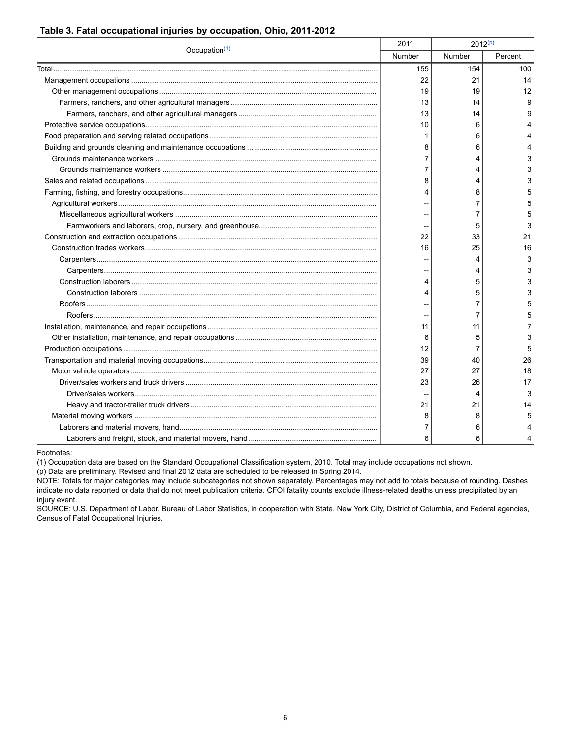| Occupation $(1)$ | 2011   | $2012^{(p)}$ |         |
|------------------|--------|--------------|---------|
|                  | Number | Number       | Percent |
|                  | 155    | 154          | 100     |
|                  | 22     | 21           | 14      |
|                  | 19     | 19           | 12      |
|                  | 13     | 14           | 9       |
|                  | 13     | 14           | 9       |
|                  | 10     | 6            |         |
|                  | 1      | 6            |         |
|                  | 8      | 6            |         |
|                  | 7      | 4            | 3       |
|                  | 7      | 4            | 3       |
|                  | 8      | 4            | 3       |
|                  | 4      | 8            | 5       |
|                  |        | 7            | 5       |
|                  |        | 7            | 5       |
|                  |        | 5            | 3       |
|                  | 22     | 33           | 21      |
|                  | 16     | 25           | 16      |
|                  |        | 4            | 3       |
|                  |        | 4            | 3       |
|                  | 4      | 5            | 3       |
|                  | 4      | 5            | 3       |
|                  |        | 7            | 5       |
|                  |        | 7            | 5       |
|                  | 11     | 11           | 7       |
|                  | 6      | 5            | 3       |
|                  | 12     | 7            | 5       |
|                  | 39     | 40           | 26      |
|                  | 27     | 27           | 18      |
|                  | 23     | 26           | 17      |
|                  |        | 4            | 3       |
|                  | 21     | 21           | 14      |
|                  | 8      | 8            | 5       |
|                  | 7      | 6            |         |
|                  | 6      | 6            | 4       |

#### <span id="page-5-0"></span>**Table 3. Fatal occupational injuries by occupation, Ohio, 2011-2012**

Footnotes:

<span id="page-5-1"></span>(1) Occupation data are based on the Standard Occupational Classification system, 2010. Total may include occupations not shown.

<span id="page-5-2"></span>(p) Data are preliminary. Revised and final 2012 data are scheduled to be released in Spring 2014.

NOTE: Totals for major categories may include subcategories not shown separately. Percentages may not add to totals because of rounding. Dashes indicate no data reported or data that do not meet publication criteria. CFOI fatality counts exclude illness-related deaths unless precipitated by an injury event.

SOURCE: U.S. Department of Labor, Bureau of Labor Statistics, in cooperation with State, New York City, District of Columbia, and Federal agencies, Census of Fatal Occupational Injuries.